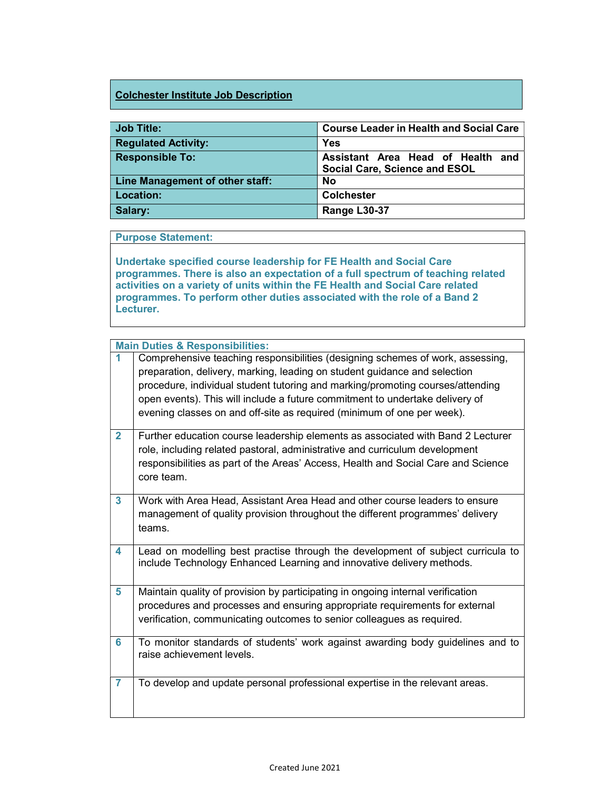## Colchester Institute Job Description

| <b>Job Title:</b>               | <b>Course Leader in Health and Social Care</b>                     |
|---------------------------------|--------------------------------------------------------------------|
| <b>Regulated Activity:</b>      | <b>Yes</b>                                                         |
| <b>Responsible To:</b>          | Assistant Area Head of Health and<br>Social Care, Science and ESOL |
| Line Management of other staff: | <b>No</b>                                                          |
| Location:                       | <b>Colchester</b>                                                  |
| Salary:                         | Range L30-37                                                       |

## Purpose Statement:

Undertake specified course leadership for FE Health and Social Care programmes. There is also an expectation of a full spectrum of teaching related activities on a variety of units within the FE Health and Social Care related programmes. To perform other duties associated with the role of a Band 2 Lecturer.

|                | <b>Main Duties &amp; Responsibilities:</b>                                                                                                                                                                                                                                                                                                                                                              |
|----------------|---------------------------------------------------------------------------------------------------------------------------------------------------------------------------------------------------------------------------------------------------------------------------------------------------------------------------------------------------------------------------------------------------------|
|                | Comprehensive teaching responsibilities (designing schemes of work, assessing,<br>preparation, delivery, marking, leading on student guidance and selection<br>procedure, individual student tutoring and marking/promoting courses/attending<br>open events). This will include a future commitment to undertake delivery of<br>evening classes on and off-site as required (minimum of one per week). |
| $\overline{2}$ | Further education course leadership elements as associated with Band 2 Lecturer<br>role, including related pastoral, administrative and curriculum development<br>responsibilities as part of the Areas' Access, Health and Social Care and Science<br>core team.                                                                                                                                       |
| 3              | Work with Area Head, Assistant Area Head and other course leaders to ensure<br>management of quality provision throughout the different programmes' delivery<br>teams.                                                                                                                                                                                                                                  |
| 4              | Lead on modelling best practise through the development of subject curricula to<br>include Technology Enhanced Learning and innovative delivery methods.                                                                                                                                                                                                                                                |
| 5              | Maintain quality of provision by participating in ongoing internal verification<br>procedures and processes and ensuring appropriate requirements for external<br>verification, communicating outcomes to senior colleagues as required.                                                                                                                                                                |
| 6              | To monitor standards of students' work against awarding body guidelines and to<br>raise achievement levels.                                                                                                                                                                                                                                                                                             |
| $\overline{7}$ | To develop and update personal professional expertise in the relevant areas.                                                                                                                                                                                                                                                                                                                            |